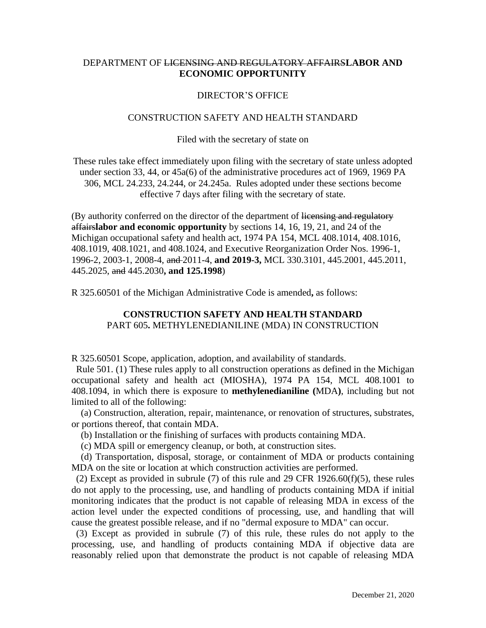## DEPARTMENT OF LICENSING AND REGULATORY AFFAIRS**LABOR AND ECONOMIC OPPORTUNITY**

## DIRECTOR'S OFFICE

## CONSTRUCTION SAFETY AND HEALTH STANDARD

Filed with the secretary of state on

These rules take effect immediately upon filing with the secretary of state unless adopted under section 33, 44, or 45a(6) of the administrative procedures act of 1969, 1969 PA 306, MCL 24.233, 24.244, or 24.245a. Rules adopted under these sections become effective 7 days after filing with the secretary of state.

(By authority conferred on the director of the department of licensing and regulatory affairs**labor and economic opportunity** by sections 14, 16, 19, 21, and 24 of the Michigan occupational safety and health act, 1974 PA 154, MCL 408.1014, 408.1016, 408.1019, 408.1021, and 408.1024, and Executive Reorganization Order Nos. 1996-1, 1996-2, 2003-1, 2008-4, and 2011-4, **and 2019-3,** MCL 330.3101, 445.2001, 445.2011, 445.2025, and 445.2030**, and 125.1998**)

R 325.60501 of the Michigan Administrative Code is amended**,** as follows:

## **CONSTRUCTION SAFETY AND HEALTH STANDARD**  PART 605**.** METHYLENEDIANILINE (MDA) IN CONSTRUCTION

R 325.60501 Scope, application, adoption, and availability of standards.

 Rule 501. (1) These rules apply to all construction operations as defined in the Michigan occupational safety and health act (MIOSHA), 1974 PA 154, MCL 408.1001 to 408.1094, in which there is exposure to **methylenedianiline (**MDA**)**, including but not limited to all of the following:

 (a) Construction, alteration, repair, maintenance, or renovation of structures, substrates, or portions thereof, that contain MDA.

(b) Installation or the finishing of surfaces with products containing MDA.

(c) MDA spill or emergency cleanup, or both, at construction sites.

 (d) Transportation, disposal, storage, or containment of MDA or products containing MDA on the site or location at which construction activities are performed.

(2) Except as provided in subrule (7) of this rule and 29 CFR 1926.60(f)(5), these rules do not apply to the processing, use, and handling of products containing MDA if initial monitoring indicates that the product is not capable of releasing MDA in excess of the action level under the expected conditions of processing, use, and handling that will cause the greatest possible release, and if no "dermal exposure to MDA" can occur.

 (3) Except as provided in subrule (7) of this rule, these rules do not apply to the processing, use, and handling of products containing MDA if objective data are reasonably relied upon that demonstrate the product is not capable of releasing MDA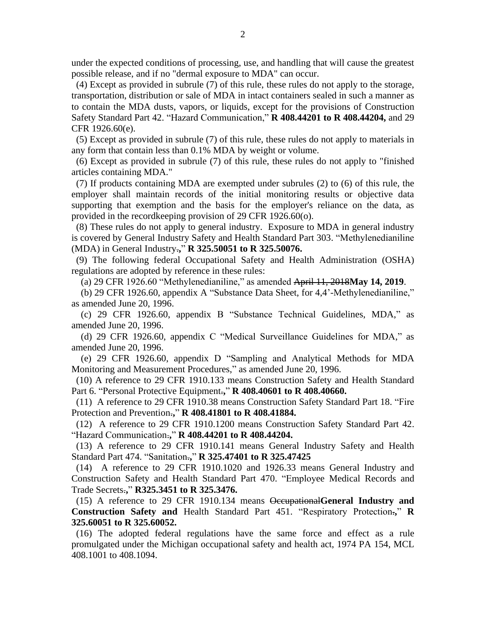under the expected conditions of processing, use, and handling that will cause the greatest possible release, and if no "dermal exposure to MDA" can occur.

 (4) Except as provided in subrule (7) of this rule, these rules do not apply to the storage, transportation, distribution or sale of MDA in intact containers sealed in such a manner as to contain the MDA dusts, vapors, or liquids, except for the provisions of Construction Safety Standard Part 42. "Hazard Communication," **R 408.44201 to R 408.44204,** and 29 CFR 1926.60(e).

 (5) Except as provided in subrule (7) of this rule, these rules do not apply to materials in any form that contain less than 0.1% MDA by weight or volume.

 (6) Except as provided in subrule (7) of this rule, these rules do not apply to "finished articles containing MDA."

 (7) If products containing MDA are exempted under subrules (2) to (6) of this rule, the employer shall maintain records of the initial monitoring results or objective data supporting that exemption and the basis for the employer's reliance on the data, as provided in the recordkeeping provision of 29 CFR 1926.60(o).

 (8) These rules do not apply to general industry. Exposure to MDA in general industry is covered by General Industry Safety and Health Standard Part 303. "Methylenedianiline (MDA) in General Industry.**,**" **R 325.50051 to R 325.50076.**

 (9) The following federal Occupational Safety and Health Administration (OSHA) regulations are adopted by reference in these rules:

(a) 29 CFR 1926.60 "Methylenedianiline," as amended April 11, 2018**May 14, 2019**.

 (b) 29 CFR 1926.60, appendix A "Substance Data Sheet, for 4,4'-Methylenedianiline," as amended June 20, 1996.

 (c) 29 CFR 1926.60, appendix B "Substance Technical Guidelines, MDA," as amended June 20, 1996.

 (d) 29 CFR 1926.60, appendix C "Medical Surveillance Guidelines for MDA," as amended June 20, 1996.

 (e) 29 CFR 1926.60, appendix D "Sampling and Analytical Methods for MDA Monitoring and Measurement Procedures," as amended June 20, 1996.

 (10) A reference to 29 CFR 1910.133 means Construction Safety and Health Standard Part 6. "Personal Protective Equipment.**,**" **R 408.40601 to R 408.40660.** 

 (11) A reference to 29 CFR 1910.38 means Construction Safety Standard Part 18. "Fire Protection and Prevention.**,**" **R 408.41801 to R 408.41884.**

 (12) A reference to 29 CFR 1910.1200 means Construction Safety Standard Part 42. "Hazard Communication.**,**" **R 408.44201 to R 408.44204.**

(13) A reference to 29 CFR 1910.141 means General Industry Safety and Health Standard Part 474. "Sanitation.**,**" **R 325.47401 to R 325.47425**

 (14) A reference to 29 CFR 1910.1020 and 1926.33 means General Industry and Construction Safety and Health Standard Part 470. "Employee Medical Records and Trade Secrets.**,**" **R325.3451 to R 325.3476.**

 (15) A reference to 29 CFR 1910.134 means Occupational**General Industry and Construction Safety and** Health Standard Part 451. "Respiratory Protection.**,**" **R 325.60051 to R 325.60052.**

 (16) The adopted federal regulations have the same force and effect as a rule promulgated under the Michigan occupational safety and health act, 1974 PA 154, MCL 408.1001 to 408.1094.